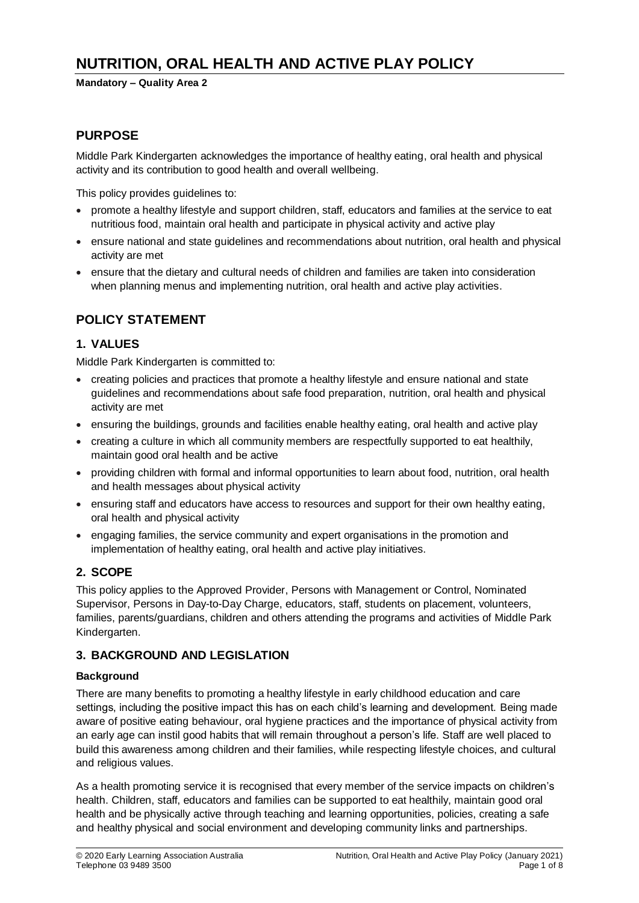# **NUTRITION, ORAL HEALTH AND ACTIVE PLAY POLICY**

**Mandatory – Quality Area 2**

## **PURPOSE**

Middle Park Kindergarten acknowledges the importance of healthy eating, oral health and physical activity and its contribution to good health and overall wellbeing.

This policy provides guidelines to:

- promote a healthy lifestyle and support children, staff, educators and families at the service to eat nutritious food, maintain oral health and participate in physical activity and active play
- ensure national and state guidelines and recommendations about nutrition, oral health and physical activity are met
- ensure that the dietary and cultural needs of children and families are taken into consideration when planning menus and implementing nutrition, oral health and active play activities.

## **POLICY STATEMENT**

## **1. VALUES**

Middle Park Kindergarten is committed to:

- creating policies and practices that promote a healthy lifestyle and ensure national and state guidelines and recommendations about safe food preparation, nutrition, oral health and physical activity are met
- ensuring the buildings, grounds and facilities enable healthy eating, oral health and active play
- creating a culture in which all community members are respectfully supported to eat healthily, maintain good oral health and be active
- providing children with formal and informal opportunities to learn about food, nutrition, oral health and health messages about physical activity
- ensuring staff and educators have access to resources and support for their own healthy eating, oral health and physical activity
- engaging families, the service community and expert organisations in the promotion and implementation of healthy eating, oral health and active play initiatives.

## **2. SCOPE**

This policy applies to the Approved Provider, Persons with Management or Control, Nominated Supervisor, Persons in Day-to-Day Charge, educators, staff, students on placement, volunteers, families, parents/guardians, children and others attending the programs and activities of Middle Park Kindergarten.

## **3. BACKGROUND AND LEGISLATION**

#### **Background**

There are many benefits to promoting a healthy lifestyle in early childhood education and care settings, including the positive impact this has on each child's learning and development. Being made aware of positive eating behaviour, oral hygiene practices and the importance of physical activity from an early age can instil good habits that will remain throughout a person's life. Staff are well placed to build this awareness among children and their families, while respecting lifestyle choices, and cultural and religious values.

As a health promoting service it is recognised that every member of the service impacts on children's health. Children, staff, educators and families can be supported to eat healthily, maintain good oral health and be physically active through teaching and learning opportunities, policies, creating a safe and healthy physical and social environment and developing community links and partnerships.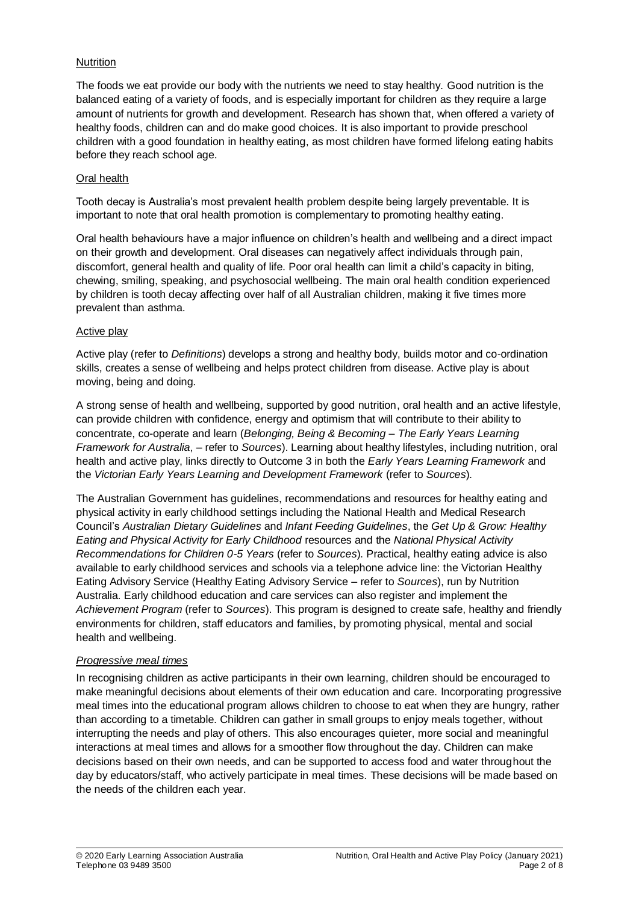#### **Nutrition**

The foods we eat provide our body with the nutrients we need to stay healthy. Good nutrition is the balanced eating of a variety of foods, and is especially important for children as they require a large amount of nutrients for growth and development. Research has shown that, when offered a variety of healthy foods, children can and do make good choices. It is also important to provide preschool children with a good foundation in healthy eating, as most children have formed lifelong eating habits before they reach school age.

#### Oral health

Tooth decay is Australia's most prevalent health problem despite being largely preventable. It is important to note that oral health promotion is complementary to promoting healthy eating.

Oral health behaviours have a major influence on children's health and wellbeing and a direct impact on their growth and development. Oral diseases can negatively affect individuals through pain, discomfort, general health and quality of life. Poor oral health can limit a child's capacity in biting, chewing, smiling, speaking, and psychosocial wellbeing. The main oral health condition experienced by children is tooth decay affecting over half of all Australian children, making it five times more prevalent than asthma.

#### Active play

Active play (refer to *Definitions*) develops a strong and healthy body, builds motor and co-ordination skills, creates a sense of wellbeing and helps protect children from disease. Active play is about moving, being and doing.

A strong sense of health and wellbeing, supported by good nutrition, oral health and an active lifestyle, can provide children with confidence, energy and optimism that will contribute to their ability to concentrate, co-operate and learn (*Belonging, Being & Becoming – The Early Years Learning Framework for Australia*, – refer to *Sources*). Learning about healthy lifestyles, including nutrition, oral health and active play, links directly to Outcome 3 in both the *Early Years Learning Framework* and the *Victorian Early Years Learning and Development Framework* (refer to *Sources*).

The Australian Government has guidelines, recommendations and resources for healthy eating and physical activity in early childhood settings including the National Health and Medical Research Council's *Australian Dietary Guidelines* and *Infant Feeding Guidelines*, the *Get Up & Grow: Healthy Eating and Physical Activity for Early Childhood* resources and the *National Physical Activity Recommendations for Children 0-5 Years* (refer to *Sources*). Practical, healthy eating advice is also available to early childhood services and schools via a telephone advice line: the Victorian Healthy Eating Advisory Service (Healthy Eating Advisory Service – refer to *Sources*), run by Nutrition Australia. Early childhood education and care services can also register and implement the *Achievement Program* (refer to *Sources*). This program is designed to create safe, healthy and friendly environments for children, staff educators and families, by promoting physical, mental and social health and wellbeing.

#### *Progressive meal times*

In recognising children as active participants in their own learning, children should be encouraged to make meaningful decisions about elements of their own education and care. Incorporating progressive meal times into the educational program allows children to choose to eat when they are hungry, rather than according to a timetable. Children can gather in small groups to enjoy meals together, without interrupting the needs and play of others. This also encourages quieter, more social and meaningful interactions at meal times and allows for a smoother flow throughout the day. Children can make decisions based on their own needs, and can be supported to access food and water throughout the day by educators/staff, who actively participate in meal times. These decisions will be made based on the needs of the children each year.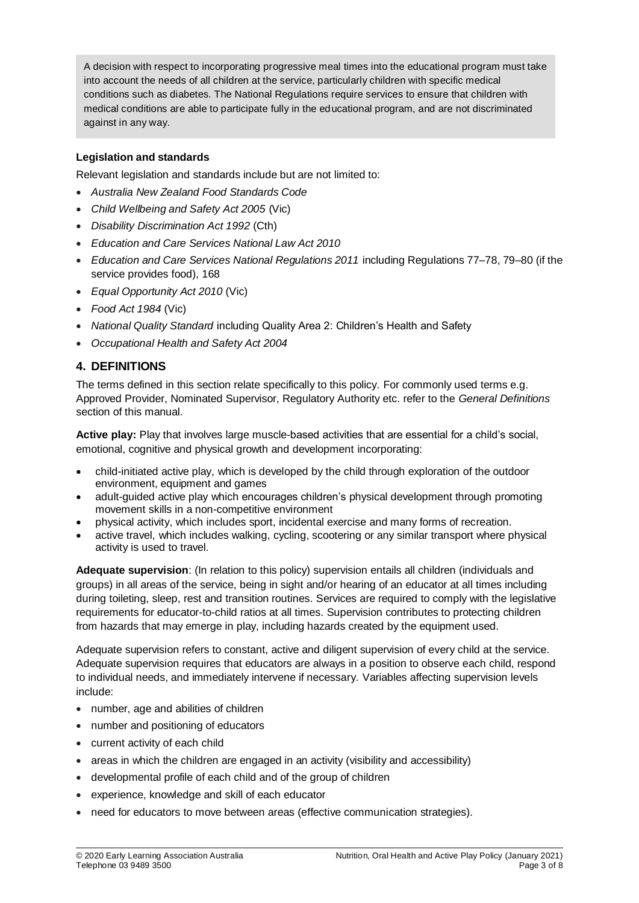A decision with respect to incorporating progressive meal times into the educational program must take into account the needs of all children at the service, particularly children with specific medical conditions such as diabetes. The National Regulations require services to ensure that children with medical conditions are able to participate fully in the educational program, and are not discriminated against in any way.

## **Legislation and standards**

Relevant legislation and standards include but are not limited to:

- *Australia New Zealand Food Standards Code*
- *Child Wellbeing and Safety Act 2005* (Vic)
- *Disability Discrimination Act 1992* (Cth)
- *Education and Care Services National Law Act 2010*
- *Education and Care Services National Regulations 2011* including Regulations 77–78, 79–80 (if the service provides food), 168
- *Equal Opportunity Act 2010* (Vic)
- *Food Act 1984* (Vic)
- *National Quality Standard* including Quality Area 2: Children's Health and Safety
- *Occupational Health and Safety Act 2004*

### **4. DEFINITIONS**

The terms defined in this section relate specifically to this policy. For commonly used terms e.g. Approved Provider, Nominated Supervisor, Regulatory Authority etc. refer to the *General Definitions* section of this manual.

**Active play:** Play that involves large muscle-based activities that are essential for a child's social, emotional, cognitive and physical growth and development incorporating:

- child-initiated active play, which is developed by the child through exploration of the outdoor environment, equipment and games
- adult-guided active play which encourages children's physical development through promoting movement skills in a non-competitive environment
- physical activity, which includes sport, incidental exercise and many forms of recreation.
- active travel, which includes walking, cycling, scootering or any similar transport where physical activity is used to travel.

**Adequate supervision**: (In relation to this policy) supervision entails all children (individuals and groups) in all areas of the service, being in sight and/or hearing of an educator at all times including during toileting, sleep, rest and transition routines. Services are required to comply with the legislative requirements for educator-to-child ratios at all times. Supervision contributes to protecting children from hazards that may emerge in play, including hazards created by the equipment used.

Adequate supervision refers to constant, active and diligent supervision of every child at the service. Adequate supervision requires that educators are always in a position to observe each child, respond to individual needs, and immediately intervene if necessary. Variables affecting supervision levels include:

- number, age and abilities of children
- number and positioning of educators
- current activity of each child
- $\bullet$  areas in which the children are engaged in an activity (visibility and accessibility)
- developmental profile of each child and of the group of children
- experience, knowledge and skill of each educator
- need for educators to move between areas (effective communication strategies).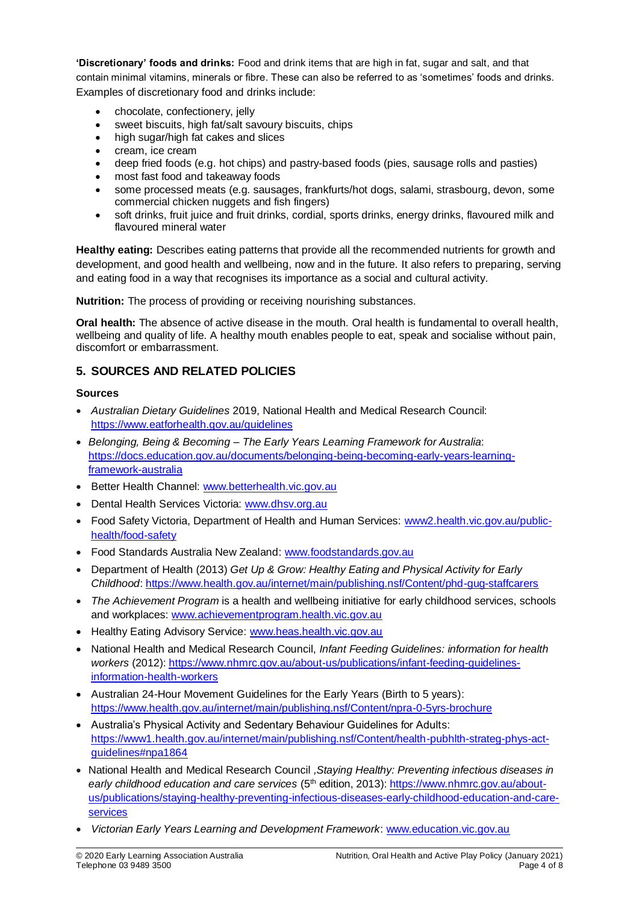**'Discretionary' foods and drinks:** Food and drink items that are high in fat, sugar and salt, and that contain minimal vitamins, minerals or fibre. These can also be referred to as 'sometimes' foods and drinks. Examples of discretionary food and drinks include:

- chocolate, confectionery, jelly
- sweet biscuits, high fat/salt savoury biscuits, chips<br>• high sugar/high fat cakes and slices
- high sugar/high fat cakes and slices
- cream, ice cream
- deep fried foods (e.g. hot chips) and pastry-based foods (pies, sausage rolls and pasties)
- most fast food and takeaway foods
- some processed meats (e.g. sausages, frankfurts/hot dogs, salami, strasbourg, devon, some commercial chicken nuggets and fish fingers)
- soft drinks, fruit juice and fruit drinks, cordial, sports drinks, energy drinks, flavoured milk and flavoured mineral water

**Healthy eating:** Describes eating patterns that provide all the recommended nutrients for growth and development, and good health and wellbeing, now and in the future. It also refers to preparing, serving and eating food in a way that recognises its importance as a social and cultural activity.

**Nutrition:** The process of providing or receiving nourishing substances.

**Oral health:** The absence of active disease in the mouth. Oral health is fundamental to overall health, wellbeing and quality of life. A healthy mouth enables people to eat, speak and socialise without pain, discomfort or embarrassment.

### **5. SOURCES AND RELATED POLICIES**

#### **Sources**

- *Australian Dietary Guidelines* 2019, National Health and Medical Research Council: <https://www.eatforhealth.gov.au/guidelines>
- *Belonging, Being & Becoming – The Early Years Learning Framework for Australia*: [https://docs.education.gov.au/documents/belonging-being-becoming-early-years-learning](https://docs.education.gov.au/documents/belonging-being-becoming-early-years-learning-framework-australia)[framework-australia](https://docs.education.gov.au/documents/belonging-being-becoming-early-years-learning-framework-australia)
- Better Health Channel: [www.betterhealth.vic.gov.au](http://www.betterhealth.vic.gov.au/)
- Dental Health Services Victoria: [www.dhsv.org.au](http://www.dhsv.org.au/)
- Food Safety Victoria, Department of Health and Human Services: [www2.health.vic.gov.au/public](https://www2.health.vic.gov.au/public-health/food-safety)[health/food-safety](https://www2.health.vic.gov.au/public-health/food-safety)
- Food Standards Australia New Zealand: [www.foodstandards.gov.au](http://www.foodstandards.gov.au/)
- Department of Health (2013) *Get Up & Grow: Healthy Eating and Physical Activity for Early Childhood*: <https://www.health.gov.au/internet/main/publishing.nsf/Content/phd-gug-staffcarers>
- *The Achievement Program* is a health and wellbeing initiative for early childhood services, schools and workplaces: [www.achievementprogram.health.vic.gov.au](http://www.achievementprogram.health.vic.gov.au/)
- Healthy Eating Advisory Service: [www.heas.health.vic.gov.au](http://heas.health.vic.gov.au/)
- National Health and Medical Research Council, *Infant Feeding Guidelines: information for health workers* (2012): [https://www.nhmrc.gov.au/about-us/publications/infant-feeding-guidelines](https://www.nhmrc.gov.au/about-us/publications/infant-feeding-guidelines-information-health-workers)[information-health-workers](https://www.nhmrc.gov.au/about-us/publications/infant-feeding-guidelines-information-health-workers)
- Australian 24-Hour Movement Guidelines for the Early Years (Birth to 5 years): <https://www.health.gov.au/internet/main/publishing.nsf/Content/npra-0-5yrs-brochure>
- Australia's Physical Activity and Sedentary Behaviour Guidelines for Adults: [https://www1.health.gov.au/internet/main/publishing.nsf/Content/health-pubhlth-strateg-phys-act](https://www1.health.gov.au/internet/main/publishing.nsf/Content/health-pubhlth-strateg-phys-act-guidelines#npa1864)[guidelines#npa1864](https://www1.health.gov.au/internet/main/publishing.nsf/Content/health-pubhlth-strateg-phys-act-guidelines#npa1864)
- National Health and Medical Research Council *,Staying Healthy: Preventing infectious diseases in*  early childhood education and care services (5<sup>th</sup> edition, 2013): [https://www.nhmrc.gov.au/about](https://www.nhmrc.gov.au/about-us/publications/staying-healthy-preventing-infectious-diseases-early-childhood-education-and-care-services)[us/publications/staying-healthy-preventing-infectious-diseases-early-childhood-education-and-care](https://www.nhmrc.gov.au/about-us/publications/staying-healthy-preventing-infectious-diseases-early-childhood-education-and-care-services)[services](https://www.nhmrc.gov.au/about-us/publications/staying-healthy-preventing-infectious-diseases-early-childhood-education-and-care-services)
- *Victorian Early Years Learning and Development Framework*: [www.education.vic.gov.au](http://www.education.vic.gov.au/Pages/default.aspx)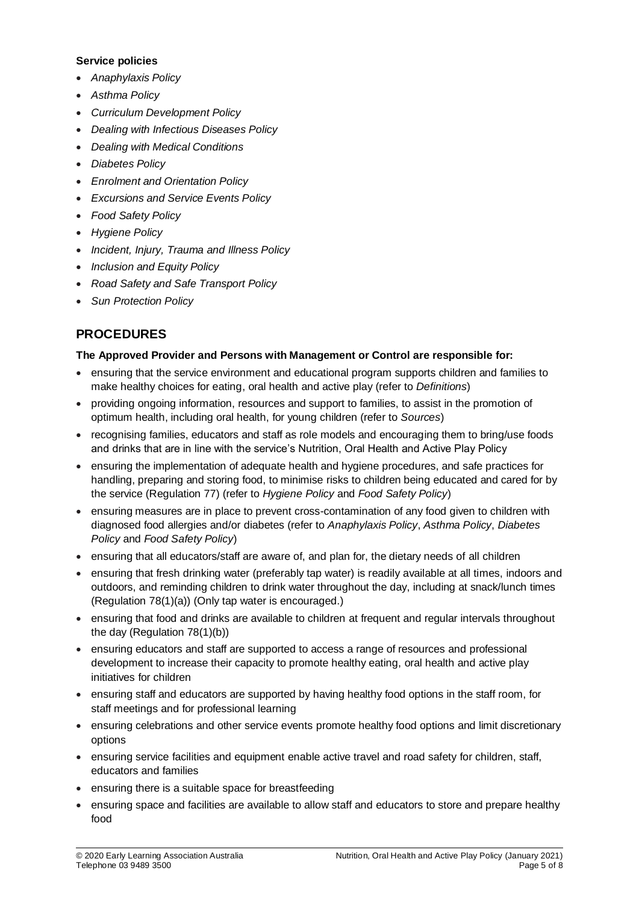#### **Service policies**

- *Anaphylaxis Policy*
- *Asthma Policy*
- *Curriculum Development Policy*
- *Dealing with Infectious Diseases Policy*
- *Dealing with Medical Conditions*
- *Diabetes Policy*
- *Enrolment and Orientation Policy*
- *Excursions and Service Events Policy*
- *Food Safety Policy*
- *Hygiene Policy*
- *Incident, Injury, Trauma and Illness Policy*
- *Inclusion and Equity Policy*
- *Road Safety and Safe Transport Policy*
- *Sun Protection Policy*

## **PROCEDURES**

## **The Approved Provider and Persons with Management or Control are responsible for:**

- ensuring that the service environment and educational program supports children and families to make healthy choices for eating, oral health and active play (refer to *Definitions*)
- providing ongoing information, resources and support to families, to assist in the promotion of optimum health, including oral health, for young children (refer to *Sources*)
- recognising families, educators and staff as role models and encouraging them to bring/use foods and drinks that are in line with the service's Nutrition, Oral Health and Active Play Policy
- ensuring the implementation of adequate health and hygiene procedures, and safe practices for handling, preparing and storing food, to minimise risks to children being educated and cared for by the service (Regulation 77) (refer to *Hygiene Policy* and *Food Safety Policy*)
- ensuring measures are in place to prevent cross-contamination of any food given to children with diagnosed food allergies and/or diabetes (refer to *Anaphylaxis Policy*, *Asthma Policy*, *Diabetes Policy* and *Food Safety Policy*)
- ensuring that all educators/staff are aware of, and plan for, the dietary needs of all children
- ensuring that fresh drinking water (preferably tap water) is readily available at all times, indoors and outdoors, and reminding children to drink water throughout the day, including at snack/lunch times (Regulation 78(1)(a)) (Only tap water is encouraged.)
- ensuring that food and drinks are available to children at frequent and regular intervals throughout the day (Regulation 78(1)(b))
- ensuring educators and staff are supported to access a range of resources and professional development to increase their capacity to promote healthy eating, oral health and active play initiatives for children
- ensuring staff and educators are supported by having healthy food options in the staff room, for staff meetings and for professional learning
- ensuring celebrations and other service events promote healthy food options and limit discretionary options
- ensuring service facilities and equipment enable active travel and road safety for children, staff, educators and families
- ensuring there is a suitable space for breastfeeding
- ensuring space and facilities are available to allow staff and educators to store and prepare healthy food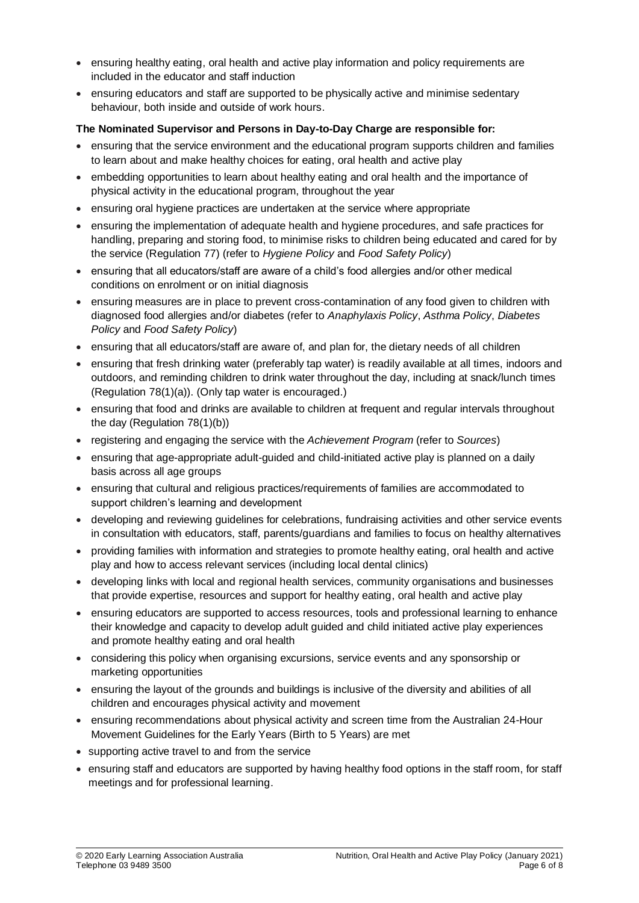- ensuring healthy eating, oral health and active play information and policy requirements are included in the educator and staff induction
- ensuring educators and staff are supported to be physically active and minimise sedentary behaviour, both inside and outside of work hours.

#### **The Nominated Supervisor and Persons in Day-to-Day Charge are responsible for:**

- ensuring that the service environment and the educational program supports children and families to learn about and make healthy choices for eating, oral health and active play
- embedding opportunities to learn about healthy eating and oral health and the importance of physical activity in the educational program, throughout the year
- ensuring oral hygiene practices are undertaken at the service where appropriate
- ensuring the implementation of adequate health and hygiene procedures, and safe practices for handling, preparing and storing food, to minimise risks to children being educated and cared for by the service (Regulation 77) (refer to *Hygiene Policy* and *Food Safety Policy*)
- ensuring that all educators/staff are aware of a child's food allergies and/or other medical conditions on enrolment or on initial diagnosis
- ensuring measures are in place to prevent cross-contamination of any food given to children with diagnosed food allergies and/or diabetes (refer to *Anaphylaxis Policy*, *Asthma Policy*, *Diabetes Policy* and *Food Safety Policy*)
- ensuring that all educators/staff are aware of, and plan for, the dietary needs of all children
- ensuring that fresh drinking water (preferably tap water) is readily available at all times, indoors and outdoors, and reminding children to drink water throughout the day, including at snack/lunch times (Regulation 78(1)(a)). (Only tap water is encouraged.)
- ensuring that food and drinks are available to children at frequent and regular intervals throughout the day (Regulation 78(1)(b))
- registering and engaging the service with the *Achievement Program* (refer to *Sources*)
- ensuring that age-appropriate adult-guided and child-initiated active play is planned on a daily basis across all age groups
- ensuring that cultural and religious practices/requirements of families are accommodated to support children's learning and development
- developing and reviewing guidelines for celebrations, fundraising activities and other service events in consultation with educators, staff, parents/guardians and families to focus on healthy alternatives
- providing families with information and strategies to promote healthy eating, oral health and active play and how to access relevant services (including local dental clinics)
- developing links with local and regional health services, community organisations and businesses that provide expertise, resources and support for healthy eating, oral health and active play
- ensuring educators are supported to access resources, tools and professional learning to enhance their knowledge and capacity to develop adult guided and child initiated active play experiences and promote healthy eating and oral health
- considering this policy when organising excursions, service events and any sponsorship or marketing opportunities
- ensuring the layout of the grounds and buildings is inclusive of the diversity and abilities of all children and encourages physical activity and movement
- ensuring recommendations about physical activity and screen time from the Australian 24-Hour Movement Guidelines for the Early Years (Birth to 5 Years) are met
- supporting active travel to and from the service
- ensuring staff and educators are supported by having healthy food options in the staff room, for staff meetings and for professional learning.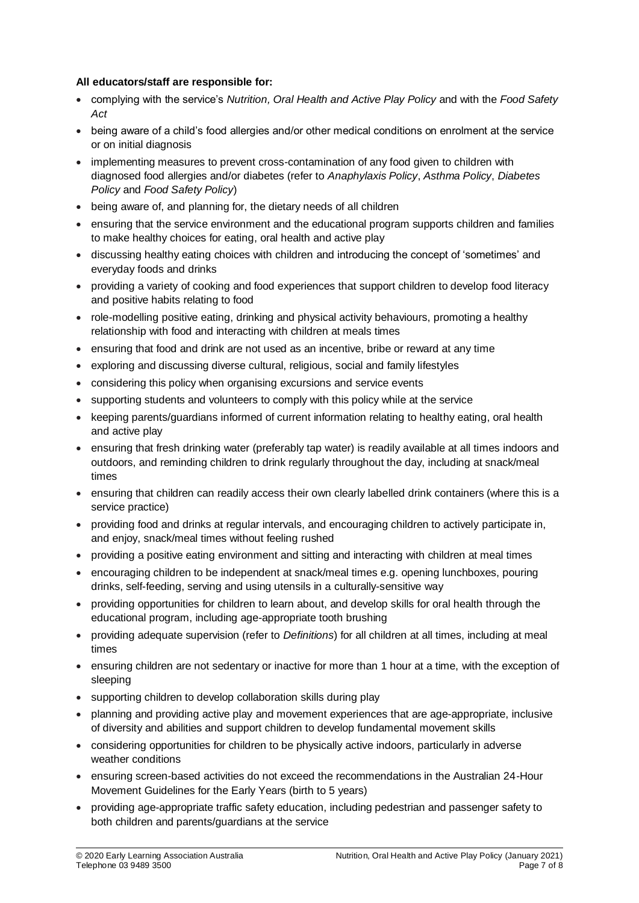#### **All educators/staff are responsible for:**

- complying with the service's *Nutrition, Oral Health and Active Play Policy* and with the *Food Safety Act*
- being aware of a child's food allergies and/or other medical conditions on enrolment at the service or on initial diagnosis
- implementing measures to prevent cross-contamination of any food given to children with diagnosed food allergies and/or diabetes (refer to *Anaphylaxis Policy*, *Asthma Policy*, *Diabetes Policy* and *Food Safety Policy*)
- being aware of, and planning for, the dietary needs of all children
- ensuring that the service environment and the educational program supports children and families to make healthy choices for eating, oral health and active play
- discussing healthy eating choices with children and introducing the concept of 'sometimes' and everyday foods and drinks
- providing a variety of cooking and food experiences that support children to develop food literacy and positive habits relating to food
- role-modelling positive eating, drinking and physical activity behaviours, promoting a healthy relationship with food and interacting with children at meals times
- ensuring that food and drink are not used as an incentive, bribe or reward at any time
- exploring and discussing diverse cultural, religious, social and family lifestyles
- considering this policy when organising excursions and service events
- supporting students and volunteers to comply with this policy while at the service
- keeping parents/guardians informed of current information relating to healthy eating, oral health and active play
- ensuring that fresh drinking water (preferably tap water) is readily available at all times indoors and outdoors, and reminding children to drink regularly throughout the day, including at snack/meal times
- ensuring that children can readily access their own clearly labelled drink containers (where this is a service practice)
- providing food and drinks at regular intervals, and encouraging children to actively participate in, and enjoy, snack/meal times without feeling rushed
- providing a positive eating environment and sitting and interacting with children at meal times
- encouraging children to be independent at snack/meal times e.g. opening lunchboxes, pouring drinks, self-feeding, serving and using utensils in a culturally-sensitive way
- providing opportunities for children to learn about, and develop skills for oral health through the educational program, including age-appropriate tooth brushing
- providing adequate supervision (refer to *Definitions*) for all children at all times, including at meal times
- ensuring children are not sedentary or inactive for more than 1 hour at a time, with the exception of sleeping
- supporting children to develop collaboration skills during play
- planning and providing active play and movement experiences that are age-appropriate, inclusive of diversity and abilities and support children to develop fundamental movement skills
- considering opportunities for children to be physically active indoors, particularly in adverse weather conditions
- ensuring screen-based activities do not exceed the recommendations in the Australian 24-Hour Movement Guidelines for the Early Years (birth to 5 years)
- providing age-appropriate traffic safety education, including pedestrian and passenger safety to both children and parents/guardians at the service